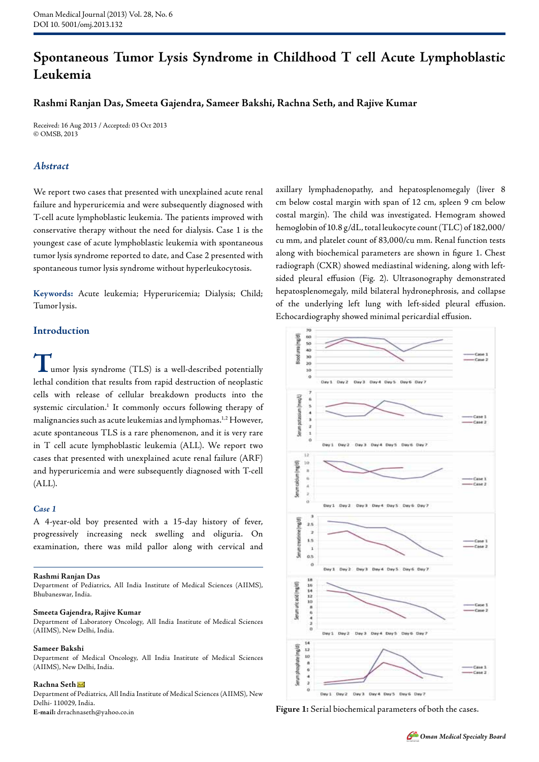# **Spontaneous Tumor Lysis Syndrome in Childhood T cell Acute Lymphoblastic Leukemia**

## **Rashmi Ranjan Das, Smeeta Gajendra, Sameer Bakshi, Rachna Seth, and Rajive Kumar**

Received: 16 Aug 2013 / Accepted: 03 Oct 2013 © OMSB, 2013

# *Abstract*

We report two cases that presented with unexplained acute renal failure and hyperuricemia and were subsequently diagnosed with T-cell acute lymphoblastic leukemia. The patients improved with conservative therapy without the need for dialysis. Case 1 is the youngest case of acute lymphoblastic leukemia with spontaneous tumor lysis syndrome reported to date, and Case 2 presented with spontaneous tumor lysis syndrome without hyperleukocytosis.

**Keywords:** Acute leukemia; Hyperuricemia; Dialysis; Child; Tumor lysis.

## **Introduction**

umor lysis syndrome (TLS) is a well-described potentially lethal condition that results from rapid destruction of neoplastic cells with release of cellular breakdown products into the systemic circulation.<sup>1</sup> It commonly occurs following therapy of malignancies such as acute leukemias and lymphomas.1,2 However, acute spontaneous TLS is a rare phenomenon, and it is very rare in T cell acute lymphoblastic leukemia (ALL). We report two cases that presented with unexplained acute renal failure (ARF) and hyperuricemia and were subsequently diagnosed with T-cell (ALL).

## *Case 1*

A 4-year-old boy presented with a 15-day history of fever, progressively increasing neck swelling and oliguria. On examination, there was mild pallor along with cervical and

#### **Rashmi Ranjan Das**

Department of Pediatrics, All India Institute of Medical Sciences (AIIMS), Bhubaneswar, India.

#### **Smeeta Gajendra, Rajive Kumar**

Department of Laboratory Oncology, All India Institute of Medical Sciences (AIIMS), New Delhi, India.

### **Sameer Bakshi**

Department of Medical Oncology, All India Institute of Medical Sciences (AIIMS), New Delhi, India.

### **Rachna Seth**

Department of Pediatrics, All India Institute of Medical Sciences (AIIMS), New Delhi- 110029, India. **E-mail:** drrachnaseth@yahoo.co.in

axillary lymphadenopathy, and hepatosplenomegaly (liver 8 cm below costal margin with span of 12 cm, spleen 9 cm below costal margin). The child was investigated. Hemogram showed hemoglobin of 10.8 g/dL, total leukocyte count (TLC) of 182,000/ cu mm, and platelet count of 83,000/cu mm. Renal function tests along with biochemical parameters are shown in figure 1. Chest radiograph (CXR) showed mediastinal widening, along with leftsided pleural effusion (Fig. 2). Ultrasonography demonstrated hepatosplenomegaly, mild bilateral hydronephrosis, and collapse of the underlying left lung with left-sided pleural effusion. Echocardiography showed minimal pericardial effusion.



**Figure 1:** Serial biochemical parameters of both the cases.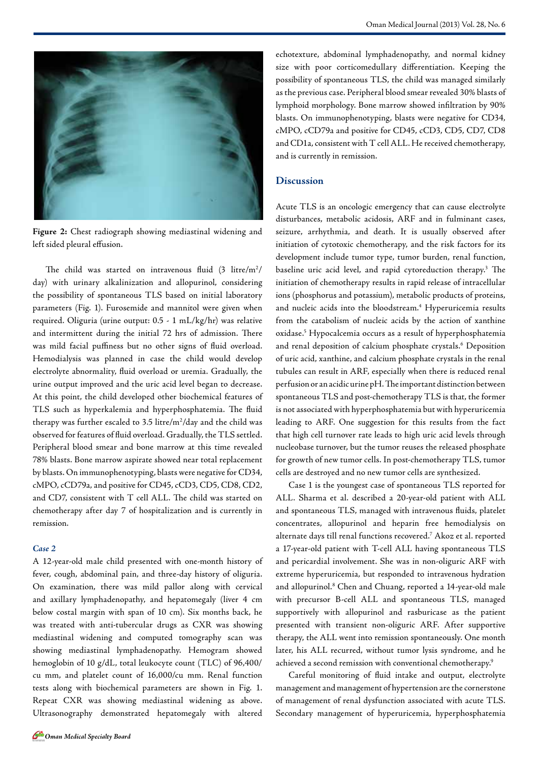

**Figure 2:** Chest radiograph showing mediastinal widening and left sided pleural effusion.

The child was started on intravenous fluid  $(3 \text{ litre/m}^2/\text{m}^2)$ day) with urinary alkalinization and allopurinol, considering the possibility of spontaneous TLS based on initial laboratory parameters (Fig. 1). Furosemide and mannitol were given when required. Oliguria (urine output: 0.5 - 1 mL/kg/hr) was relative and intermittent during the initial 72 hrs of admission. There was mild facial puffiness but no other signs of fluid overload. Hemodialysis was planned in case the child would develop electrolyte abnormality, fluid overload or uremia. Gradually, the urine output improved and the uric acid level began to decrease. At this point, the child developed other biochemical features of TLS such as hyperkalemia and hyperphosphatemia. The fluid therapy was further escaled to 3.5 litre/ $m^2$ /day and the child was observed for features of fluid overload. Gradually, the TLS settled. Peripheral blood smear and bone marrow at this time revealed 78% blasts. Bone marrow aspirate showed near total replacement by blasts. On immunophenotyping, blasts were negative for CD34, cMPO, cCD79a, and positive for CD45, cCD3, CD5, CD8, CD2, and CD7, consistent with T cell ALL. The child was started on chemotherapy after day 7 of hospitalization and is currently in remission.

#### *Case 2*

A 12-year-old male child presented with one-month history of fever, cough, abdominal pain, and three-day history of oliguria. On examination, there was mild pallor along with cervical and axillary lymphadenopathy, and hepatomegaly (liver 4 cm below costal margin with span of 10 cm). Six months back, he was treated with anti-tubercular drugs as CXR was showing mediastinal widening and computed tomography scan was showing mediastinal lymphadenopathy. Hemogram showed hemoglobin of 10 g/dL, total leukocyte count (TLC) of 96,400/ cu mm, and platelet count of 16,000/cu mm. Renal function tests along with biochemical parameters are shown in Fig. 1. Repeat CXR was showing mediastinal widening as above. Ultrasonography demonstrated hepatomegaly with altered echotexture, abdominal lymphadenopathy, and normal kidney size with poor corticomedullary differentiation. Keeping the possibility of spontaneous TLS, the child was managed similarly as the previous case. Peripheral blood smear revealed 30% blasts of lymphoid morphology. Bone marrow showed infiltration by 90% blasts. On immunophenotyping, blasts were negative for CD34, cMPO, cCD79a and positive for CD45, cCD3, CD5, CD7, CD8 and CD1a, consistent with T cell ALL. He received chemotherapy, and is currently in remission.

## **Discussion**

Acute TLS is an oncologic emergency that can cause electrolyte disturbances, metabolic acidosis, ARF and in fulminant cases, seizure, arrhythmia, and death. It is usually observed after initiation of cytotoxic chemotherapy, and the risk factors for its development include tumor type, tumor burden, renal function, baseline uric acid level, and rapid cytoreduction therapy.<sup>3</sup> The initiation of chemotherapy results in rapid release of intracellular ions (phosphorus and potassium), metabolic products of proteins, and nucleic acids into the bloodstream.<sup>4</sup> Hyperuricemia results from the catabolism of nucleic acids by the action of xanthine oxidase.5 Hypocalcemia occurs as a result of hyperphosphatemia and renal deposition of calcium phosphate crystals.<sup>6</sup> Deposition of uric acid, xanthine, and calcium phosphate crystals in the renal tubules can result in ARF, especially when there is reduced renal perfusion or an acidic urine pH. The important distinction between spontaneous TLS and post-chemotherapy TLS is that, the former is not associated with hyperphosphatemia but with hyperuricemia leading to ARF. One suggestion for this results from the fact that high cell turnover rate leads to high uric acid levels through nucleobase turnover, but the tumor reuses the released phosphate for growth of new tumor cells. In post-chemotherapy TLS, tumor cells are destroyed and no new tumor cells are synthesized.

Case 1 is the youngest case of spontaneous TLS reported for ALL. Sharma et al. described a 20-year-old patient with ALL and spontaneous TLS, managed with intravenous fluids, platelet concentrates, allopurinol and heparin free hemodialysis on alternate days till renal functions recovered.7 Akoz et al. reported a 17-year-old patient with T-cell ALL having spontaneous TLS and pericardial involvement. She was in non-oliguric ARF with extreme hyperuricemia, but responded to intravenous hydration and allopurinol.8 Chen and Chuang, reported a 14-year-old male with precursor B-cell ALL and spontaneous TLS, managed supportively with allopurinol and rasburicase as the patient presented with transient non-oliguric ARF. After supportive therapy, the ALL went into remission spontaneously. One month later, his ALL recurred, without tumor lysis syndrome, and he achieved a second remission with conventional chemotherapy.<sup>9</sup>

Careful monitoring of fluid intake and output, electrolyte management and management of hypertension are the cornerstone of management of renal dysfunction associated with acute TLS. Secondary management of hyperuricemia, hyperphosphatemia